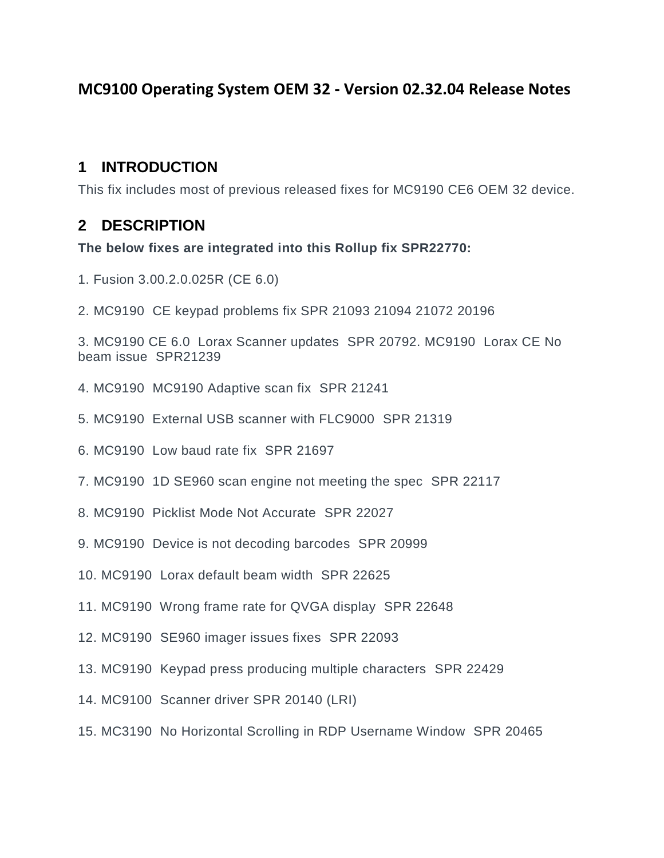### **MC9100 Operating System OEM 32 - Version 02.32.04 Release Notes**

#### **1 INTRODUCTION**

**This fix includes most of previous released fixes for MC9190 CE6 OEM 32 device.**

### **2 DESCRIPTION**

**The below fixes are integrated into this Rollup fix SPR22770:**

- **1. Fusion 3.00.2.0.025R (CE 6.0)**
- **2. MC9190 CE keypad problems fix SPR 21093 21094 21072 20196**

**3. MC9190 CE 6.0 Lorax Scanner updates SPR 20792. MC9190 Lorax CE No beam issue SPR21239**

- **4. MC9190 MC9190 Adaptive scan fix SPR 21241**
- **5. MC9190 External USB scanner with FLC9000 SPR 21319**
- **6. MC9190 Low baud rate fix SPR 21697**
- **7. MC9190 1D SE960 scan engine not meeting the spec SPR 22117**
- **8. MC9190 Picklist Mode Not Accurate SPR 22027**
- **9. MC9190 Device is not decoding barcodes SPR 20999**
- **10. MC9190 Lorax default beam width SPR 22625**
- **11. MC9190 Wrong frame rate for QVGA display SPR 22648**
- **12. MC9190 SE960 imager issues fixes SPR 22093**
- **13. MC9190 Keypad press producing multiple characters SPR 22429**
- **14. MC9100 Scanner driver SPR 20140 (LRI)**
- **15. MC3190 No Horizontal Scrolling in RDP Username Window SPR 20465**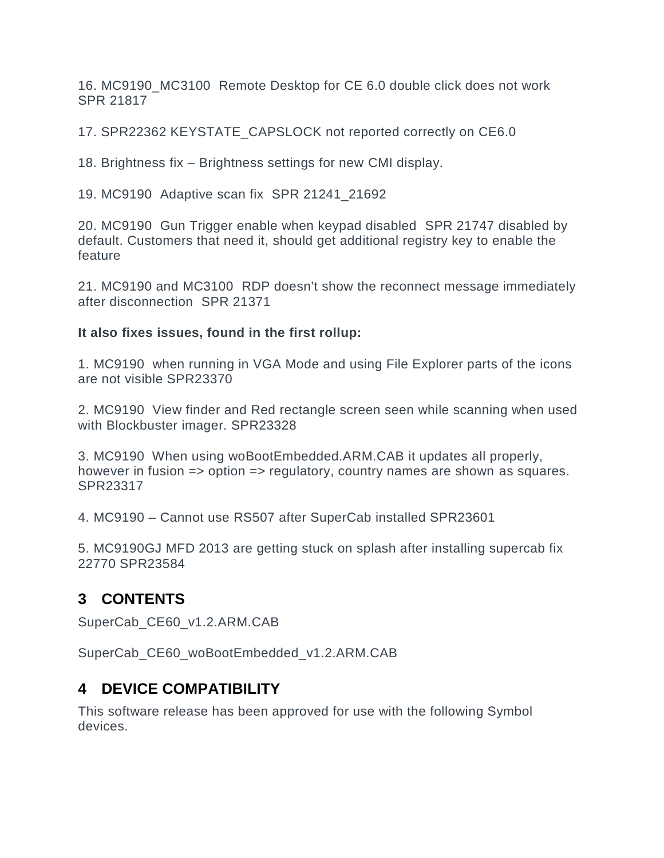**16. MC9190\_MC3100 Remote Desktop for CE 6.0 double click does not work SPR 21817**

**17. SPR22362 KEYSTATE\_CAPSLOCK not reported correctly on CE6.0**

**18. Brightness fix – Brightness settings for new CMI display.**

**19. MC9190 Adaptive scan fix SPR 21241\_21692**

**20. MC9190 Gun Trigger enable when keypad disabled SPR 21747 disabled by default. Customers that need it, should get additional registry key to enable the feature**

**21. MC9190 and MC3100 RDP doesn't show the reconnect message immediately after disconnection SPR 21371**

**It also fixes issues, found in the first rollup:**

**1. MC9190 when running in VGA Mode and using File Explorer parts of the icons are not visible SPR23370**

**2. MC9190 View finder and Red rectangle screen seen while scanning when used with Blockbuster imager. SPR23328**

**3. MC9190 When using woBootEmbedded.ARM.CAB it updates all properly, however in fusion => option => regulatory, country names are shown as squares. SPR23317**

**4. MC9190 – Cannot use RS507 after SuperCab installed SPR23601**

**5. MC9190GJ MFD 2013 are getting stuck on splash after installing supercab fix 22770 SPR23584**

#### **3 CONTENTS**

**SuperCab\_CE60\_v1.2.ARM.CAB**

**SuperCab\_CE60\_woBootEmbedded\_v1.2.ARM.CAB**

#### **4 DEVICE COMPATIBILITY**

**This software release has been approved for use with the following Symbol devices.**